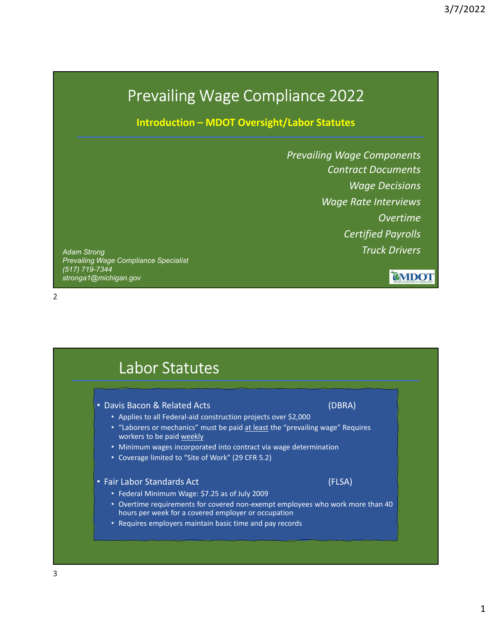## Prevailing Wage Compliance 2022

3/7/2<br>
Introduction – MDOT Oversight/Labor Statutes<br>
Prevailing Wage Components<br>
Contract Documents Prevailing Wage Components Contract Documents Wage Decisions Wage Rate Interviews Overtime Certified Payrolls Truck Drivers

Adam Strong Prevailing Wage Compliance Specialist (517) 719-7344 stronga1@michigan.gov

2

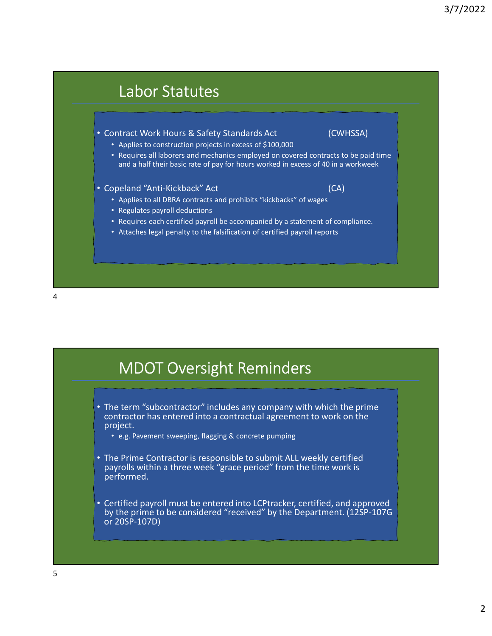

## MDOT Oversight Reminders

- The term "subcontractor" includes any company with which the prime contractor has entered into a contractual agreement to work on the project.
	- e.g. Pavement sweeping, flagging & concrete pumping
- The Prime Contractor is responsible to submit ALL weekly certified payrolls within a three week "grace period" from the time work is performed.
- Certified payroll must be entered into LCPtracker, certified, and approved by the prime to be considered "received" by the Department. (12SP-107G or 20SP-107D)